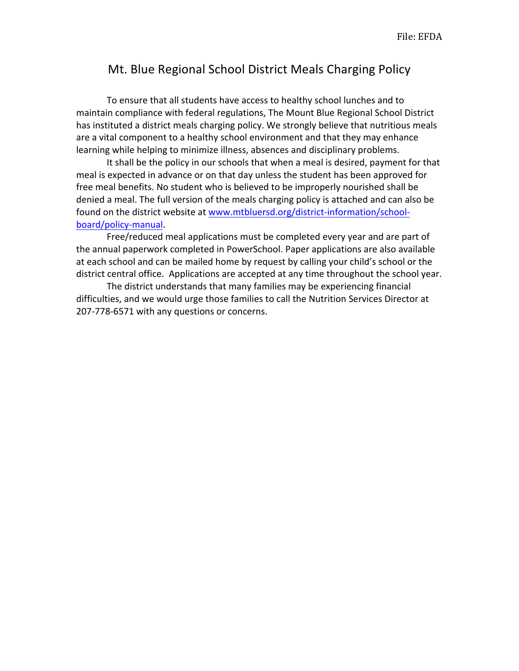## Mt. Blue Regional School District Meals Charging Policy

To ensure that all students have access to healthy school lunches and to maintain compliance with federal regulations, The Mount Blue Regional School District has instituted a district meals charging policy. We strongly believe that nutritious meals are a vital component to a healthy school environment and that they may enhance learning while helping to minimize illness, absences and disciplinary problems.

It shall be the policy in our schools that when a meal is desired, payment for that meal is expected in advance or on that day unless the student has been approved for free meal benefits. No student who is believed to be improperly nourished shall be denied a meal. The full version of the meals charging policy is attached and can also be found on the district website at www.mtbluersd.org/district-information/schoolboard/policy-manual.

Free/reduced meal applications must be completed every year and are part of the annual paperwork completed in PowerSchool. Paper applications are also available at each school and can be mailed home by request by calling your child's school or the district central office. Applications are accepted at any time throughout the school year.

The district understands that many families may be experiencing financial difficulties, and we would urge those families to call the Nutrition Services Director at 207-778-6571 with any questions or concerns.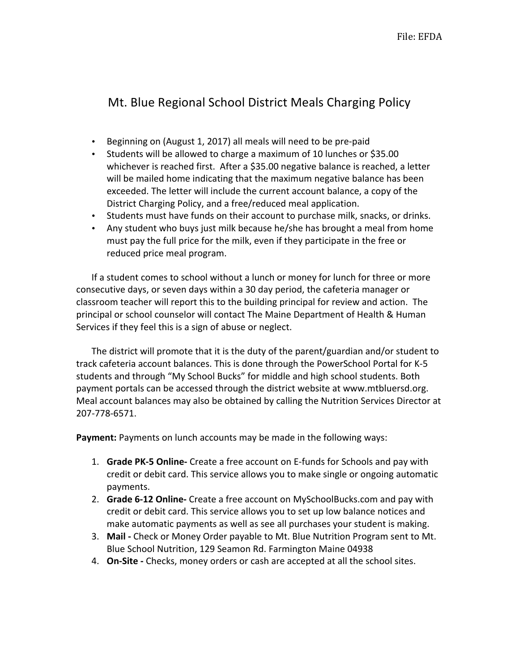## Mt. Blue Regional School District Meals Charging Policy

- Beginning on (August 1, 2017) all meals will need to be pre-paid
- Students will be allowed to charge a maximum of 10 lunches or \$35.00 whichever is reached first. After a \$35.00 negative balance is reached, a letter will be mailed home indicating that the maximum negative balance has been exceeded. The letter will include the current account balance, a copy of the District Charging Policy, and a free/reduced meal application.
- Students must have funds on their account to purchase milk, snacks, or drinks.
- Any student who buys just milk because he/she has brought a meal from home must pay the full price for the milk, even if they participate in the free or reduced price meal program.

If a student comes to school without a lunch or money for lunch for three or more consecutive days, or seven days within a 30 day period, the cafeteria manager or classroom teacher will report this to the building principal for review and action. The principal or school counselor will contact The Maine Department of Health & Human Services if they feel this is a sign of abuse or neglect.

The district will promote that it is the duty of the parent/guardian and/or student to track cafeteria account balances. This is done through the PowerSchool Portal for K-5 students and through "My School Bucks" for middle and high school students. Both payment portals can be accessed through the district website at www.mtbluersd.org. Meal account balances may also be obtained by calling the Nutrition Services Director at 207-778-6571. 

**Payment:** Payments on lunch accounts may be made in the following ways:

- 1. **Grade PK-5 Online-** Create a free account on E-funds for Schools and pay with credit or debit card. This service allows you to make single or ongoing automatic payments.
- 2. **Grade 6-12 Online-** Create a free account on MySchoolBucks.com and pay with credit or debit card. This service allows you to set up low balance notices and make automatic payments as well as see all purchases your student is making.
- 3. Mail Check or Money Order payable to Mt. Blue Nutrition Program sent to Mt. Blue School Nutrition, 129 Seamon Rd. Farmington Maine 04938
- 4. **On-Site** Checks, money orders or cash are accepted at all the school sites.